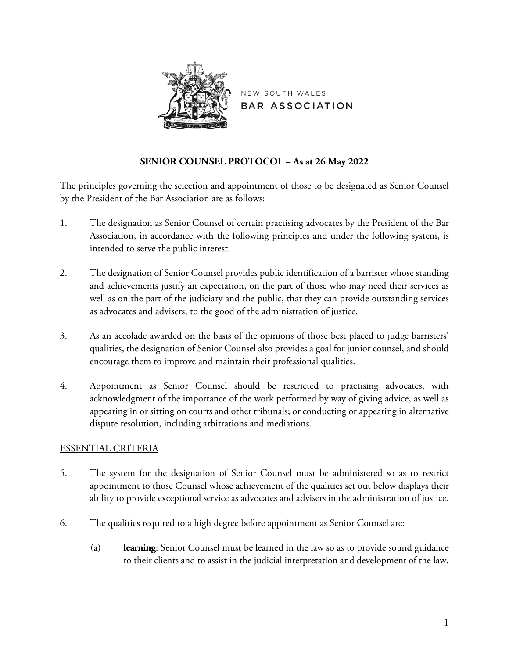

NEW SOUTH WALES **BAR ASSOCIATION** 

# **SENIOR COUNSEL PROTOCOL – As at 26 May 2022**

The principles governing the selection and appointment of those to be designated as Senior Counsel by the President of the Bar Association are as follows:

- 1. The designation as Senior Counsel of certain practising advocates by the President of the Bar Association, in accordance with the following principles and under the following system, is intended to serve the public interest.
- 2. The designation of Senior Counsel provides public identification of a barrister whose standing and achievements justify an expectation, on the part of those who may need their services as well as on the part of the judiciary and the public, that they can provide outstanding services as advocates and advisers, to the good of the administration of justice.
- 3. As an accolade awarded on the basis of the opinions of those best placed to judge barristers' qualities, the designation of Senior Counsel also provides a goal for junior counsel, and should encourage them to improve and maintain their professional qualities.
- 4. Appointment as Senior Counsel should be restricted to practising advocates, with acknowledgment of the importance of the work performed by way of giving advice, as well as appearing in or sitting on courts and other tribunals; or conducting or appearing in alternative dispute resolution, including arbitrations and mediations.

# ESSENTIAL CRITERIA

- 5. The system for the designation of Senior Counsel must be administered so as to restrict appointment to those Counsel whose achievement of the qualities set out below displays their ability to provide exceptional service as advocates and advisers in the administration of justice.
- 6. The qualities required to a high degree before appointment as Senior Counsel are:
	- (a) **learning**: Senior Counsel must be learned in the law so as to provide sound guidance to their clients and to assist in the judicial interpretation and development of the law.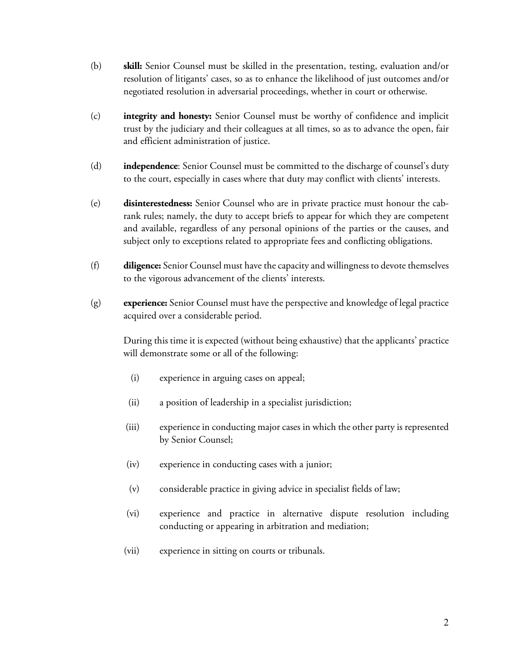- (b) **skill:** Senior Counsel must be skilled in the presentation, testing, evaluation and/or resolution of litigants' cases, so as to enhance the likelihood of just outcomes and/or negotiated resolution in adversarial proceedings, whether in court or otherwise.
- (c) **integrity and honesty:** Senior Counsel must be worthy of confidence and implicit trust by the judiciary and their colleagues at all times, so as to advance the open, fair and efficient administration of justice.
- (d) **independence**: Senior Counsel must be committed to the discharge of counsel's duty to the court, especially in cases where that duty may conflict with clients' interests.
- (e) **disinterestedness:** Senior Counsel who are in private practice must honour the cabrank rules; namely, the duty to accept briefs to appear for which they are competent and available, regardless of any personal opinions of the parties or the causes, and subject only to exceptions related to appropriate fees and conflicting obligations.
- (f) **diligence:** Senior Counsel must have the capacity and willingness to devote themselves to the vigorous advancement of the clients' interests.
- (g) **experience:** Senior Counsel must have the perspective and knowledge of legal practice acquired over a considerable period.

During this time it is expected (without being exhaustive) that the applicants' practice will demonstrate some or all of the following:

- (i) experience in arguing cases on appeal;
- (ii) a position of leadership in a specialist jurisdiction;
- (iii) experience in conducting major cases in which the other party is represented by Senior Counsel;
- (iv) experience in conducting cases with a junior;
- (v) considerable practice in giving advice in specialist fields of law;
- (vi) experience and practice in alternative dispute resolution including conducting or appearing in arbitration and mediation;
- (vii) experience in sitting on courts or tribunals.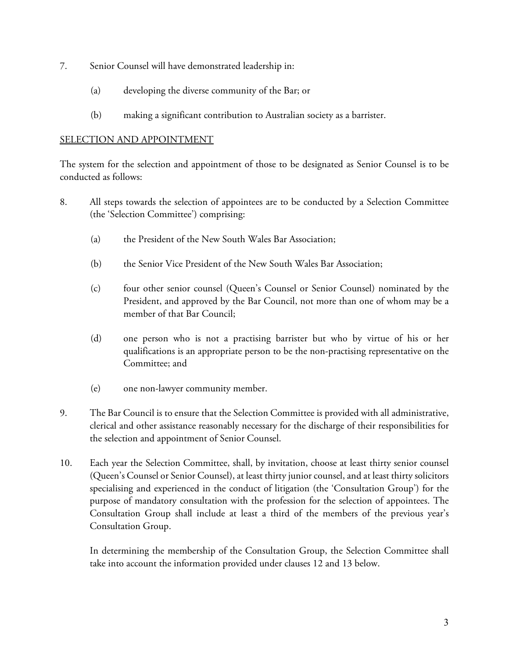- 7. Senior Counsel will have demonstrated leadership in:
	- (a) developing the diverse community of the Bar; or
	- (b) making a significant contribution to Australian society as a barrister.

### SELECTION AND APPOINTMENT

The system for the selection and appointment of those to be designated as Senior Counsel is to be conducted as follows:

- 8. All steps towards the selection of appointees are to be conducted by a Selection Committee (the 'Selection Committee') comprising:
	- (a) the President of the New South Wales Bar Association;
	- (b) the Senior Vice President of the New South Wales Bar Association;
	- (c) four other senior counsel (Queen's Counsel or Senior Counsel) nominated by the President, and approved by the Bar Council, not more than one of whom may be a member of that Bar Council;
	- (d) one person who is not a practising barrister but who by virtue of his or her qualifications is an appropriate person to be the non-practising representative on the Committee; and
	- (e) one non-lawyer community member.
- 9. The Bar Council is to ensure that the Selection Committee is provided with all administrative, clerical and other assistance reasonably necessary for the discharge of their responsibilities for the selection and appointment of Senior Counsel.
- 10. Each year the Selection Committee, shall, by invitation, choose at least thirty senior counsel (Queen's Counsel or Senior Counsel), at least thirty junior counsel, and at least thirty solicitors specialising and experienced in the conduct of litigation (the 'Consultation Group') for the purpose of mandatory consultation with the profession for the selection of appointees. The Consultation Group shall include at least a third of the members of the previous year's Consultation Group.

In determining the membership of the Consultation Group, the Selection Committee shall take into account the information provided under clauses 12 and 13 below.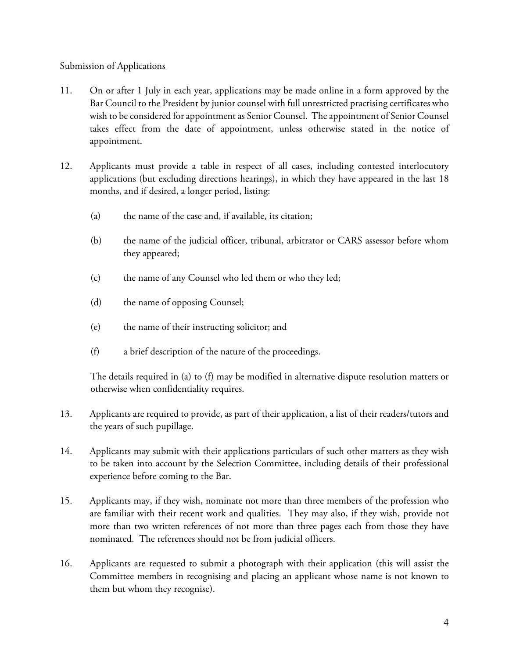### Submission of Applications

- 11. On or after 1 July in each year, applications may be made online in a form approved by the Bar Council to the President by junior counsel with full unrestricted practising certificates who wish to be considered for appointment as Senior Counsel. The appointment of Senior Counsel takes effect from the date of appointment, unless otherwise stated in the notice of appointment.
- 12. Applicants must provide a table in respect of all cases, including contested interlocutory applications (but excluding directions hearings), in which they have appeared in the last 18 months, and if desired, a longer period, listing:
	- (a) the name of the case and, if available, its citation;
	- (b) the name of the judicial officer, tribunal, arbitrator or CARS assessor before whom they appeared;
	- (c) the name of any Counsel who led them or who they led;
	- (d) the name of opposing Counsel;
	- (e) the name of their instructing solicitor; and
	- (f) a brief description of the nature of the proceedings.

The details required in (a) to (f) may be modified in alternative dispute resolution matters or otherwise when confidentiality requires.

- 13. Applicants are required to provide, as part of their application, a list of their readers/tutors and the years of such pupillage.
- 14. Applicants may submit with their applications particulars of such other matters as they wish to be taken into account by the Selection Committee, including details of their professional experience before coming to the Bar.
- 15. Applicants may, if they wish, nominate not more than three members of the profession who are familiar with their recent work and qualities. They may also, if they wish, provide not more than two written references of not more than three pages each from those they have nominated. The references should not be from judicial officers.
- 16. Applicants are requested to submit a photograph with their application (this will assist the Committee members in recognising and placing an applicant whose name is not known to them but whom they recognise).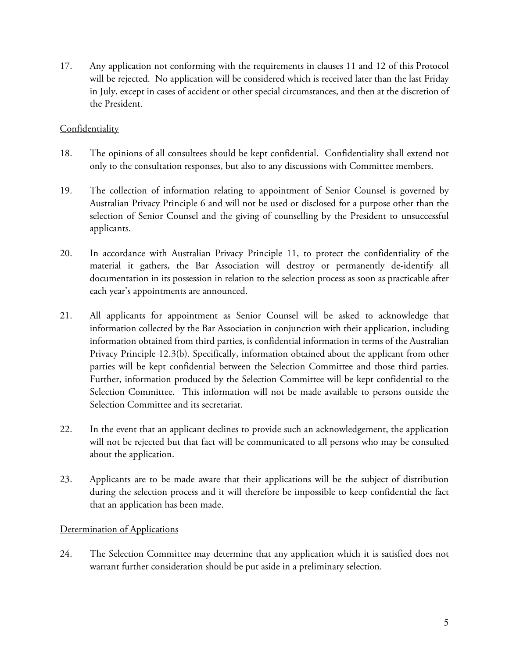17. Any application not conforming with the requirements in clauses 11 and 12 of this Protocol will be rejected. No application will be considered which is received later than the last Friday in July, except in cases of accident or other special circumstances, and then at the discretion of the President.

# **Confidentiality**

- 18. The opinions of all consultees should be kept confidential. Confidentiality shall extend not only to the consultation responses, but also to any discussions with Committee members.
- 19. The collection of information relating to appointment of Senior Counsel is governed by Australian Privacy Principle 6 and will not be used or disclosed for a purpose other than the selection of Senior Counsel and the giving of counselling by the President to unsuccessful applicants.
- 20. In accordance with Australian Privacy Principle 11, to protect the confidentiality of the material it gathers, the Bar Association will destroy or permanently de-identify all documentation in its possession in relation to the selection process as soon as practicable after each year's appointments are announced.
- 21. All applicants for appointment as Senior Counsel will be asked to acknowledge that information collected by the Bar Association in conjunction with their application, including information obtained from third parties, is confidential information in terms of the Australian Privacy Principle 12.3(b). Specifically, information obtained about the applicant from other parties will be kept confidential between the Selection Committee and those third parties. Further, information produced by the Selection Committee will be kept confidential to the Selection Committee. This information will not be made available to persons outside the Selection Committee and its secretariat.
- 22. In the event that an applicant declines to provide such an acknowledgement, the application will not be rejected but that fact will be communicated to all persons who may be consulted about the application.
- 23. Applicants are to be made aware that their applications will be the subject of distribution during the selection process and it will therefore be impossible to keep confidential the fact that an application has been made.

# Determination of Applications

24. The Selection Committee may determine that any application which it is satisfied does not warrant further consideration should be put aside in a preliminary selection.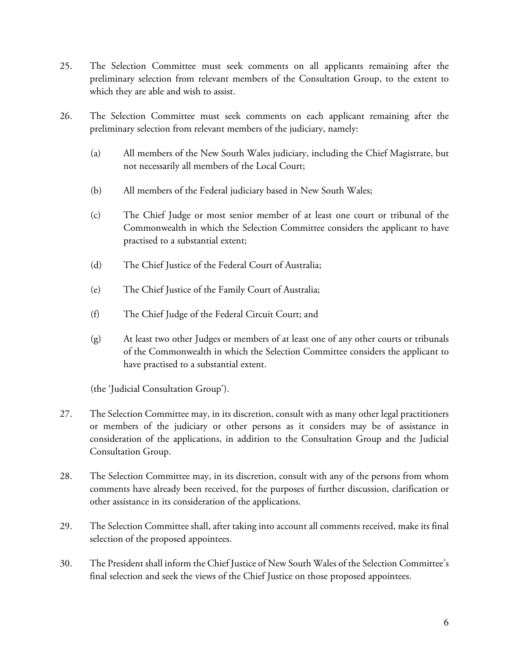- 25. The Selection Committee must seek comments on all applicants remaining after the preliminary selection from relevant members of the Consultation Group, to the extent to which they are able and wish to assist.
- 26. The Selection Committee must seek comments on each applicant remaining after the preliminary selection from relevant members of the judiciary, namely:
	- (a) All members of the New South Wales judiciary, including the Chief Magistrate, but not necessarily all members of the Local Court;
	- (b) All members of the Federal judiciary based in New South Wales;
	- (c) The Chief Judge or most senior member of at least one court or tribunal of the Commonwealth in which the Selection Committee considers the applicant to have practised to a substantial extent;
	- (d) The Chief Justice of the Federal Court of Australia;
	- (e) The Chief Justice of the Family Court of Australia;
	- (f) The Chief Judge of the Federal Circuit Court; and
	- (g) At least two other Judges or members of at least one of any other courts or tribunals of the Commonwealth in which the Selection Committee considers the applicant to have practised to a substantial extent.

(the 'Judicial Consultation Group').

- 27. The Selection Committee may, in its discretion, consult with as many other legal practitioners or members of the judiciary or other persons as it considers may be of assistance in consideration of the applications, in addition to the Consultation Group and the Judicial Consultation Group.
- 28. The Selection Committee may, in its discretion, consult with any of the persons from whom comments have already been received, for the purposes of further discussion, clarification or other assistance in its consideration of the applications.
- 29. The Selection Committee shall, after taking into account all comments received, make its final selection of the proposed appointees.
- 30. The President shall inform the Chief Justice of New South Wales of the Selection Committee's final selection and seek the views of the Chief Justice on those proposed appointees.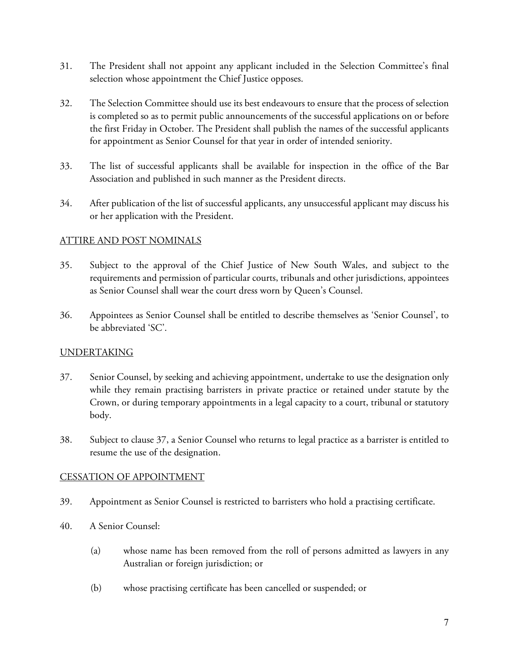- 31. The President shall not appoint any applicant included in the Selection Committee's final selection whose appointment the Chief Justice opposes.
- 32. The Selection Committee should use its best endeavours to ensure that the process of selection is completed so as to permit public announcements of the successful applications on or before the first Friday in October. The President shall publish the names of the successful applicants for appointment as Senior Counsel for that year in order of intended seniority.
- 33. The list of successful applicants shall be available for inspection in the office of the Bar Association and published in such manner as the President directs.
- 34. After publication of the list of successful applicants, any unsuccessful applicant may discuss his or her application with the President.

# ATTIRE AND POST NOMINALS

- 35. Subject to the approval of the Chief Justice of New South Wales, and subject to the requirements and permission of particular courts, tribunals and other jurisdictions, appointees as Senior Counsel shall wear the court dress worn by Queen's Counsel.
- 36. Appointees as Senior Counsel shall be entitled to describe themselves as 'Senior Counsel', to be abbreviated 'SC'.

# UNDERTAKING

- 37. Senior Counsel, by seeking and achieving appointment, undertake to use the designation only while they remain practising barristers in private practice or retained under statute by the Crown, or during temporary appointments in a legal capacity to a court, tribunal or statutory body.
- 38. Subject to clause 37, a Senior Counsel who returns to legal practice as a barrister is entitled to resume the use of the designation.

# CESSATION OF APPOINTMENT

- 39. Appointment as Senior Counsel is restricted to barristers who hold a practising certificate.
- 40. A Senior Counsel:
	- (a) whose name has been removed from the roll of persons admitted as lawyers in any Australian or foreign jurisdiction; or
	- (b) whose practising certificate has been cancelled or suspended; or